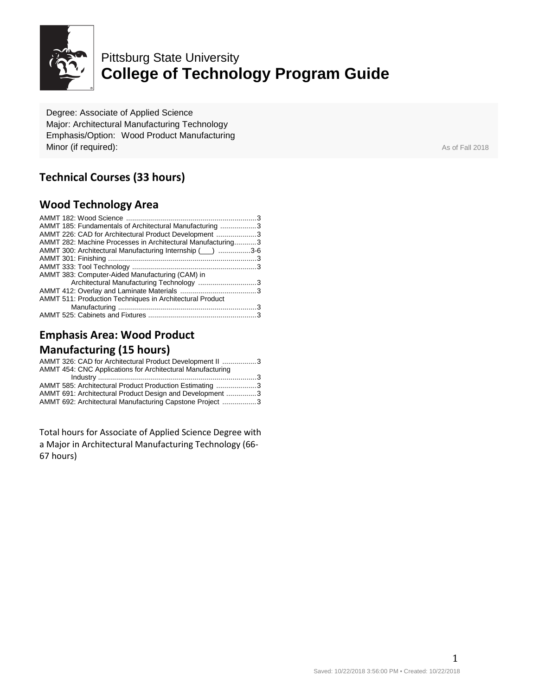

# Pittsburg State University **College of Technology Program Guide**

Degree: Associate of Applied Science Major: Architectural Manufacturing Technology Emphasis/Option: Wood Product Manufacturing **Minor (if required):** As of Fall 2018

## **Technical Courses (33 hours)**

### **Wood Technology Area**

| AMMT 185: Fundamentals of Architectural Manufacturing 3     |  |
|-------------------------------------------------------------|--|
| AMMT 226: CAD for Architectural Product Development 3       |  |
| AMMT 282: Machine Processes in Architectural Manufacturing3 |  |
| AMMT 300: Architectural Manufacturing Internship (iii) 3-6  |  |
|                                                             |  |
|                                                             |  |
| AMMT 383: Computer-Aided Manufacturing (CAM) in             |  |
| Architectural Manufacturing Technology 3                    |  |
|                                                             |  |
| AMMT 511: Production Techniques in Architectural Product    |  |
|                                                             |  |
|                                                             |  |

# **Emphasis Area: Wood Product**

## **Manufacturing (15 hours)**

Total hours for Associate of Applied Science Degree with a Major in Architectural Manufacturing Technology (66- 67 hours)